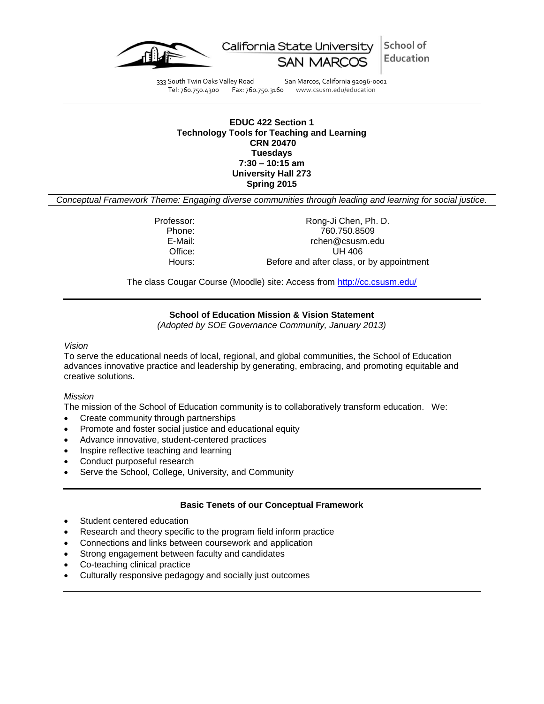

School of California State Universit Education

333 South Twin Oaks Valley Road San Marcos, California 92096-0001<br>Tel: 760.750.4300 Fax: 760.750.3160 www.csusm.edu/education www.csusm.edu/education

## **EDUC 422 Section 1 Technology Tools for Teaching and Learning CRN 20470 Tuesdays 7:30 – 10:15 am University Hall 273 Spring 2015**

*Conceptual Framework Theme: Engaging diverse communities through leading and learning for social justice.*

Professor: Rong-Ji Chen, Ph. D. Phone: 760.750.8509 E-Mail: rchen@csusm.edu Office: UH 406 Hours: Before and after class, or by appointment

The class Cougar Course (Moodle) site: Access from<http://cc.csusm.edu/>

## **School of Education Mission & Vision Statement**

*(Adopted by SOE Governance Community, January 2013)*

#### *Vision*

To serve the educational needs of local, regional, and global communities, the School of Education advances innovative practice and leadership by generating, embracing, and promoting equitable and creative solutions.

### *Mission*

The mission of the School of Education community is to collaboratively transform education. We:

- Create community through partnerships
- Promote and foster social justice and educational equity
- Advance innovative, student-centered practices
- Inspire reflective teaching and learning
- Conduct purposeful research
- Serve the School, College, University, and Community

### **Basic Tenets of our Conceptual Framework**

- Student centered education
- Research and theory specific to the program field inform practice
- Connections and links between coursework and application
- Strong engagement between faculty and candidates
- Co-teaching clinical practice
- Culturally responsive pedagogy and socially just outcomes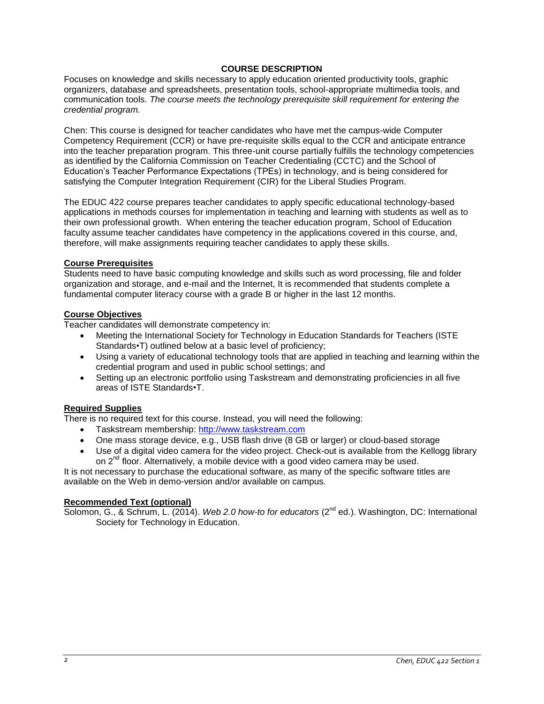## **COURSE DESCRIPTION**

Focuses on knowledge and skills necessary to apply education oriented productivity tools, graphic organizers, database and spreadsheets, presentation tools, school-appropriate multimedia tools, and communication tools. *The course meets the technology prerequisite skill requirement for entering the credential program.*

Chen: This course is designed for teacher candidates who have met the campus-wide Computer Competency Requirement (CCR) or have pre-requisite skills equal to the CCR and anticipate entrance into the teacher preparation program. This three-unit course partially fulfills the technology competencies as identified by the California Commission on Teacher Credentialing (CCTC) and the School of Education's Teacher Performance Expectations (TPEs) in technology, and is being considered for satisfying the Computer Integration Requirement (CIR) for the Liberal Studies Program.

The EDUC 422 course prepares teacher candidates to apply specific educational technology-based applications in methods courses for implementation in teaching and learning with students as well as to their own professional growth. When entering the teacher education program, School of Education faculty assume teacher candidates have competency in the applications covered in this course, and, therefore, will make assignments requiring teacher candidates to apply these skills.

### **Course Prerequisites**

Students need to have basic computing knowledge and skills such as word processing, file and folder organization and storage, and e-mail and the Internet, It is recommended that students complete a fundamental computer literacy course with a grade B or higher in the last 12 months.

## **Course Objectives**

Teacher candidates will demonstrate competency in:

- Meeting the International Society for Technology in Education Standards for Teachers (ISTE Standards•T) outlined below at a basic level of proficiency;
- Using a variety of educational technology tools that are applied in teaching and learning within the credential program and used in public school settings; and
- Setting up an electronic portfolio using Taskstream and demonstrating proficiencies in all five areas of ISTE Standards•T.

# **Required Supplies**

There is no required text for this course. Instead, you will need the following:

- Taskstream membership: [http://www.taskstream.com](http://www.taskstream.com/)
- One mass storage device, e.g., USB flash drive (8 GB or larger) or cloud-based storage
- Use of a digital video camera for the video project. Check-out is available from the Kellogg library on 2<sup>nd</sup> floor. Alternatively, a mobile device with a good video camera may be used.

It is not necessary to purchase the educational software, as many of the specific software titles are available on the Web in demo-version and/or available on campus.

# **Recommended Text (optional)**

Solomon, G., & Schrum, L. (2014). *Web 2.0 how-to for educators* (2<sup>nd</sup> ed.). Washington, DC: International Society for Technology in Education.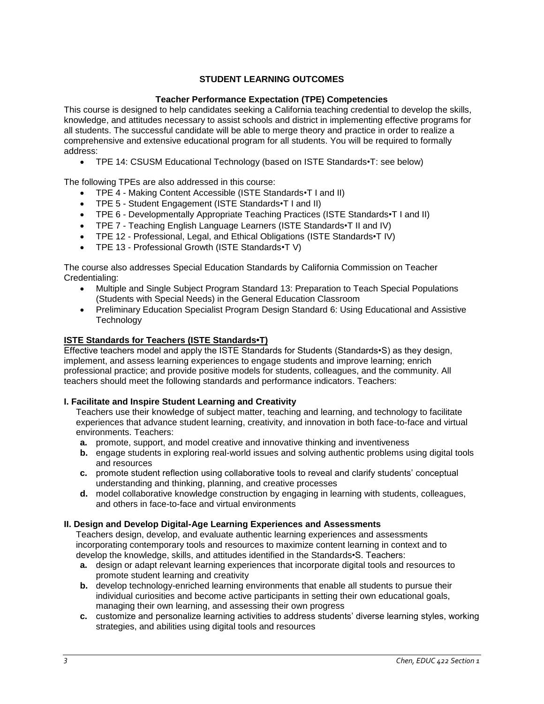# **STUDENT LEARNING OUTCOMES**

# **Teacher Performance Expectation (TPE) Competencies**

This course is designed to help candidates seeking a California teaching credential to develop the skills, knowledge, and attitudes necessary to assist schools and district in implementing effective programs for all students. The successful candidate will be able to merge theory and practice in order to realize a comprehensive and extensive educational program for all students. You will be required to formally address:

TPE 14: CSUSM Educational Technology (based on ISTE Standards•T: see below)

The following TPEs are also addressed in this course:

- TPE 4 Making Content Accessible (ISTE Standards•T I and II)
- TPE 5 Student Engagement (ISTE Standards•T I and II)
- TPE 6 Developmentally Appropriate Teaching Practices (ISTE Standards•T I and II)
- TPE 7 Teaching English Language Learners (ISTE Standards•T II and IV)
- TPE 12 Professional, Legal, and Ethical Obligations (ISTE Standards•T IV)
- TPE 13 Professional Growth (ISTE Standards•T V)

The course also addresses Special Education Standards by California Commission on Teacher Credentialing:

- Multiple and Single Subject Program Standard 13: Preparation to Teach Special Populations (Students with Special Needs) in the General Education Classroom
- Preliminary Education Specialist Program Design Standard 6: Using Educational and Assistive **Technology**

## **ISTE Standards for Teachers (ISTE Standards•T)**

Effective teachers model and apply the ISTE Standards for Students (Standards•S) as they design, implement, and assess learning experiences to engage students and improve learning; enrich professional practice; and provide positive models for students, colleagues, and the community. All teachers should meet the following standards and performance indicators. Teachers:

# **I. Facilitate and Inspire Student Learning and Creativity**

Teachers use their knowledge of subject matter, teaching and learning, and technology to facilitate experiences that advance student learning, creativity, and innovation in both face-to-face and virtual environments. Teachers:

- **a.** promote, support, and model creative and innovative thinking and inventiveness
- **b.** engage students in exploring real-world issues and solving authentic problems using digital tools and resources
- **c.** promote student reflection using collaborative tools to reveal and clarify students' conceptual understanding and thinking, planning, and creative processes
- **d.** model collaborative knowledge construction by engaging in learning with students, colleagues, and others in face-to-face and virtual environments

### **II. Design and Develop Digital-Age Learning Experiences and Assessments**

Teachers design, develop, and evaluate authentic learning experiences and assessments incorporating contemporary tools and resources to maximize content learning in context and to develop the knowledge, skills, and attitudes identified in the Standards•S. Teachers:

- **a.** design or adapt relevant learning experiences that incorporate digital tools and resources to promote student learning and creativity
- **b.** develop technology-enriched learning environments that enable all students to pursue their individual curiosities and become active participants in setting their own educational goals, managing their own learning, and assessing their own progress
- **c.** customize and personalize learning activities to address students' diverse learning styles, working strategies, and abilities using digital tools and resources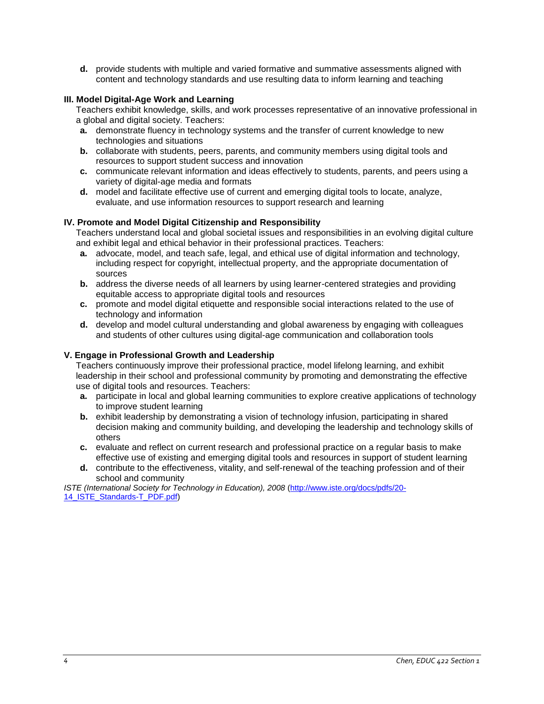**d.** provide students with multiple and varied formative and summative assessments aligned with content and technology standards and use resulting data to inform learning and teaching

# **III. Model Digital-Age Work and Learning**

Teachers exhibit knowledge, skills, and work processes representative of an innovative professional in a global and digital society. Teachers:

- **a.** demonstrate fluency in technology systems and the transfer of current knowledge to new technologies and situations
- **b.** collaborate with students, peers, parents, and community members using digital tools and resources to support student success and innovation
- **c.** communicate relevant information and ideas effectively to students, parents, and peers using a variety of digital-age media and formats
- **d.** model and facilitate effective use of current and emerging digital tools to locate, analyze, evaluate, and use information resources to support research and learning

## **IV. Promote and Model Digital Citizenship and Responsibility**

Teachers understand local and global societal issues and responsibilities in an evolving digital culture and exhibit legal and ethical behavior in their professional practices. Teachers:

- **a.** advocate, model, and teach safe, legal, and ethical use of digital information and technology, including respect for copyright, intellectual property, and the appropriate documentation of sources
- **b.** address the diverse needs of all learners by using learner-centered strategies and providing equitable access to appropriate digital tools and resources
- **c.** promote and model digital etiquette and responsible social interactions related to the use of technology and information
- **d.** develop and model cultural understanding and global awareness by engaging with colleagues and students of other cultures using digital-age communication and collaboration tools

# **V. Engage in Professional Growth and Leadership**

Teachers continuously improve their professional practice, model lifelong learning, and exhibit leadership in their school and professional community by promoting and demonstrating the effective use of digital tools and resources. Teachers:

- **a.** participate in local and global learning communities to explore creative applications of technology to improve student learning
- **b.** exhibit leadership by demonstrating a vision of technology infusion, participating in shared decision making and community building, and developing the leadership and technology skills of others
- **c.** evaluate and reflect on current research and professional practice on a regular basis to make effective use of existing and emerging digital tools and resources in support of student learning
- **d.** contribute to the effectiveness, vitality, and self-renewal of the teaching profession and of their school and community

*ISTE (International Society for Technology in Education), 2008* [\(http://www.iste.org/docs/pdfs/20-](http://www.iste.org/docs/pdfs/20-14_ISTE_Standards-T_PDF.pdf) [14\\_ISTE\\_Standards-T\\_PDF.pdf\)](http://www.iste.org/docs/pdfs/20-14_ISTE_Standards-T_PDF.pdf)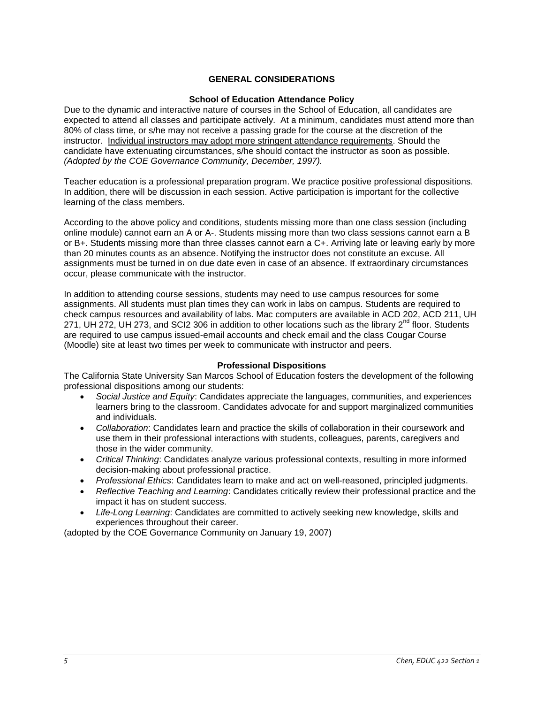# **GENERAL CONSIDERATIONS**

### **School of Education Attendance Policy**

Due to the dynamic and interactive nature of courses in the School of Education, all candidates are expected to attend all classes and participate actively. At a minimum, candidates must attend more than 80% of class time, or s/he may not receive a passing grade for the course at the discretion of the instructor. Individual instructors may adopt more stringent attendance requirements. Should the candidate have extenuating circumstances, s/he should contact the instructor as soon as possible. *(Adopted by the COE Governance Community, December, 1997).*

Teacher education is a professional preparation program. We practice positive professional dispositions. In addition, there will be discussion in each session. Active participation is important for the collective learning of the class members.

According to the above policy and conditions, students missing more than one class session (including online module) cannot earn an A or A-. Students missing more than two class sessions cannot earn a B or B+. Students missing more than three classes cannot earn a C+. Arriving late or leaving early by more than 20 minutes counts as an absence. Notifying the instructor does not constitute an excuse. All assignments must be turned in on due date even in case of an absence. If extraordinary circumstances occur, please communicate with the instructor.

In addition to attending course sessions, students may need to use campus resources for some assignments. All students must plan times they can work in labs on campus. Students are required to check campus resources and availability of labs. Mac computers are available in ACD 202, ACD 211, UH 271, UH 272, UH 273, and SCI2 306 in addition to other locations such as the library 2<sup>nd</sup> floor. Students are required to use campus issued-email accounts and check email and the class Cougar Course (Moodle) site at least two times per week to communicate with instructor and peers.

### **Professional Dispositions**

The California State University San Marcos School of Education fosters the development of the following professional dispositions among our students:

- *Social Justice and Equity*: Candidates appreciate the languages, communities, and experiences learners bring to the classroom. Candidates advocate for and support marginalized communities and individuals.
- *Collaboration*: Candidates learn and practice the skills of collaboration in their coursework and use them in their professional interactions with students, colleagues, parents, caregivers and those in the wider community.
- *Critical Thinking*: Candidates analyze various professional contexts, resulting in more informed decision-making about professional practice.
- *Professional Ethics*: Candidates learn to make and act on well-reasoned, principled judgments.
- *Reflective Teaching and Learning*: Candidates critically review their professional practice and the impact it has on student success.
- *Life-Long Learning*: Candidates are committed to actively seeking new knowledge, skills and experiences throughout their career.

(adopted by the COE Governance Community on January 19, 2007)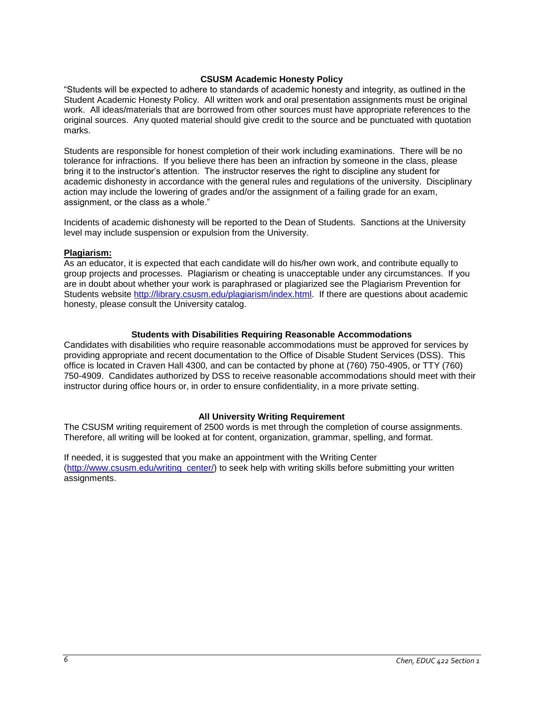## **CSUSM Academic Honesty Policy**

"Students will be expected to adhere to standards of academic honesty and integrity, as outlined in the Student Academic Honesty Policy. All written work and oral presentation assignments must be original work. All ideas/materials that are borrowed from other sources must have appropriate references to the original sources. Any quoted material should give credit to the source and be punctuated with quotation marks.

Students are responsible for honest completion of their work including examinations. There will be no tolerance for infractions. If you believe there has been an infraction by someone in the class, please bring it to the instructor's attention. The instructor reserves the right to discipline any student for academic dishonesty in accordance with the general rules and regulations of the university. Disciplinary action may include the lowering of grades and/or the assignment of a failing grade for an exam, assignment, or the class as a whole."

Incidents of academic dishonesty will be reported to the Dean of Students. Sanctions at the University level may include suspension or expulsion from the University.

### **Plagiarism:**

As an educator, it is expected that each candidate will do his/her own work, and contribute equally to group projects and processes. Plagiarism or cheating is unacceptable under any circumstances. If you are in doubt about whether your work is paraphrased or plagiarized see the Plagiarism Prevention for Students website [http://library.csusm.edu/plagiarism/index.html.](http://library.csusm.edu/plagiarism/index.html) If there are questions about academic honesty, please consult the University catalog.

## **Students with Disabilities Requiring Reasonable Accommodations**

Candidates with disabilities who require reasonable accommodations must be approved for services by providing appropriate and recent documentation to the Office of Disable Student Services (DSS). This office is located in Craven Hall 4300, and can be contacted by phone at (760) 750-4905, or TTY (760) 750-4909. Candidates authorized by DSS to receive reasonable accommodations should meet with their instructor during office hours or, in order to ensure confidentiality, in a more private setting.

### **All University Writing Requirement**

The CSUSM writing requirement of 2500 words is met through the completion of course assignments. Therefore, all writing will be looked at for content, organization, grammar, spelling, and format.

If needed, it is suggested that you make an appointment with the Writing Center [\(http://www.csusm.edu/writing\\_center/\)](http://www.csusm.edu/writing_center/) to seek help with writing skills before submitting your written assignments.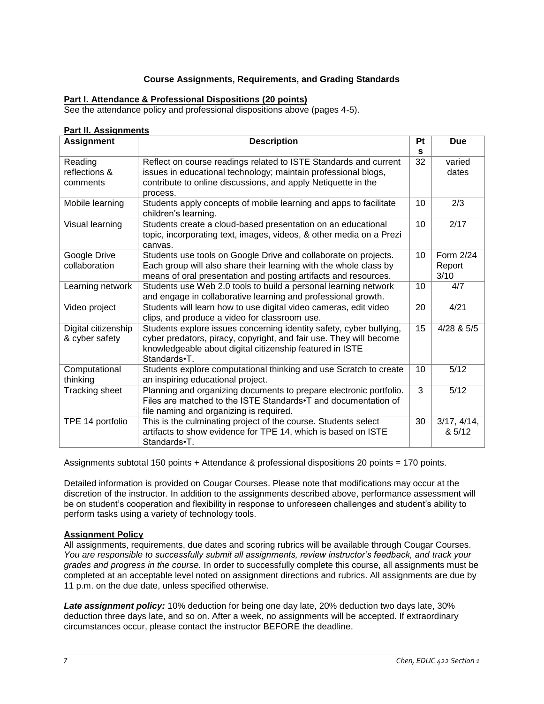# **Course Assignments, Requirements, and Grading Standards**

# **Part I. Attendance & Professional Dispositions (20 points)**

See the attendance policy and professional dispositions above (pages 4-5).

## **Part II. Assignments**

| <b>Assignment</b>     | <b>Description</b>                                                                        | Pt | <b>Due</b>  |
|-----------------------|-------------------------------------------------------------------------------------------|----|-------------|
|                       |                                                                                           | s  |             |
| Reading               | Reflect on course readings related to ISTE Standards and current                          | 32 | varied      |
| reflections &         | issues in educational technology; maintain professional blogs,                            |    | dates       |
| comments              | contribute to online discussions, and apply Netiquette in the<br>process.                 |    |             |
| Mobile learning       | Students apply concepts of mobile learning and apps to facilitate<br>children's learning. | 10 | 2/3         |
| Visual learning       | Students create a cloud-based presentation on an educational                              | 10 | 2/17        |
|                       | topic, incorporating text, images, videos, & other media on a Prezi<br>canvas.            |    |             |
| Google Drive          | Students use tools on Google Drive and collaborate on projects.                           | 10 | Form 2/24   |
| collaboration         | Each group will also share their learning with the whole class by                         |    | Report      |
|                       | means of oral presentation and posting artifacts and resources.                           |    | 3/10        |
| Learning network      | Students use Web 2.0 tools to build a personal learning network                           | 10 | 4/7         |
|                       | and engage in collaborative learning and professional growth.                             |    |             |
| Video project         | Students will learn how to use digital video cameras, edit video                          | 20 | 4/21        |
|                       | clips, and produce a video for classroom use.                                             |    |             |
| Digital citizenship   | Students explore issues concerning identity safety, cyber bullying,                       | 15 | 4/28 & 5/5  |
| & cyber safety        | cyber predators, piracy, copyright, and fair use. They will become                        |    |             |
|                       | knowledgeable about digital citizenship featured in ISTE<br>Standards•T.                  |    |             |
| Computational         | Students explore computational thinking and use Scratch to create                         | 10 | 5/12        |
| thinking              | an inspiring educational project.                                                         |    |             |
| <b>Tracking sheet</b> | Planning and organizing documents to prepare electronic portfolio.                        | 3  | 5/12        |
|                       | Files are matched to the ISTE Standards. T and documentation of                           |    |             |
|                       | file naming and organizing is required.                                                   |    |             |
| TPE 14 portfolio      | This is the culminating project of the course. Students select                            | 30 | 3/17, 4/14, |
|                       | artifacts to show evidence for TPE 14, which is based on ISTE                             |    | & 5/12      |
|                       | Standards•T.                                                                              |    |             |

Assignments subtotal 150 points + Attendance & professional dispositions 20 points = 170 points.

Detailed information is provided on Cougar Courses. Please note that modifications may occur at the discretion of the instructor. In addition to the assignments described above, performance assessment will be on student's cooperation and flexibility in response to unforeseen challenges and student's ability to perform tasks using a variety of technology tools.

### **Assignment Policy**

All assignments, requirements, due dates and scoring rubrics will be available through Cougar Courses. *You are responsible to successfully submit all assignments, review instructor's feedback, and track your grades and progress in the course.* In order to successfully complete this course, all assignments must be completed at an acceptable level noted on assignment directions and rubrics. All assignments are due by 11 p.m. on the due date, unless specified otherwise.

*Late assignment policy:* 10% deduction for being one day late, 20% deduction two days late, 30% deduction three days late, and so on. After a week, no assignments will be accepted. If extraordinary circumstances occur, please contact the instructor BEFORE the deadline.